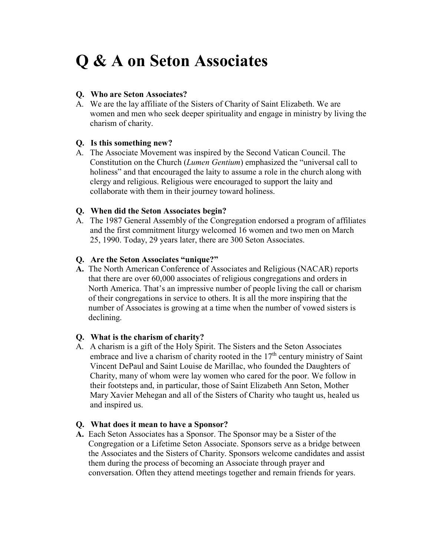# **Q & A on Seton Associates**

## **Q. Who are Seton Associates?**

A. We are the lay affiliate of the Sisters of Charity of Saint Elizabeth. We are women and men who seek deeper spirituality and engage in ministry by living the charism of charity.

## **Q. Is this something new?**

A. The Associate Movement was inspired by the Second Vatican Council. The Constitution on the Church (*Lumen Gentium*) emphasized the "universal call to holiness" and that encouraged the laity to assume a role in the church along with clergy and religious. Religious were encouraged to support the laity and collaborate with them in their journey toward holiness.

## **Q. When did the Seton Associates begin?**

A. The 1987 General Assembly of the Congregation endorsed a program of affiliates and the first commitment liturgy welcomed 16 women and two men on March 25, 1990. Today, 29 years later, there are 300 Seton Associates.

## **Q. Are the Seton Associates "unique?"**

**A.** The North American Conference of Associates and Religious (NACAR) reports that there are over 60,000 associates of religious congregations and orders in North America. That's an impressive number of people living the call or charism of their congregations in service to others. It is all the more inspiring that the number of Associates is growing at a time when the number of vowed sisters is declining.

## **Q. What is the charism of charity?**

A. A charism is a gift of the Holy Spirit. The Sisters and the Seton Associates embrace and live a charism of charity rooted in the  $17<sup>th</sup>$  century ministry of Saint Vincent DePaul and Saint Louise de Marillac, who founded the Daughters of Charity, many of whom were lay women who cared for the poor. We follow in their footsteps and, in particular, those of Saint Elizabeth Ann Seton, Mother Mary Xavier Mehegan and all of the Sisters of Charity who taught us, healed us and inspired us.

#### **Q. What does it mean to have a Sponsor?**

**A.** Each Seton Associates has a Sponsor. The Sponsor may be a Sister of the Congregation or a Lifetime Seton Associate. Sponsors serve as a bridge between the Associates and the Sisters of Charity. Sponsors welcome candidates and assist them during the process of becoming an Associate through prayer and conversation. Often they attend meetings together and remain friends for years.